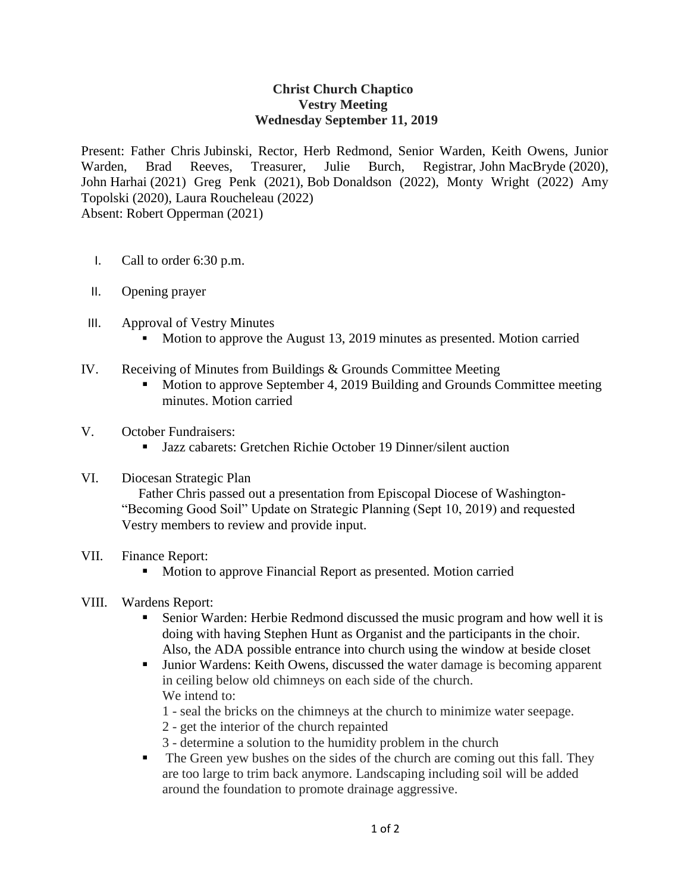## **Christ Church Chaptico Vestry Meeting Wednesday September 11, 2019**

Present: Father Chris Jubinski, Rector, Herb Redmond, Senior Warden, Keith Owens, Junior Warden, Brad Reeves, Treasurer, Julie Burch, Registrar, John MacBryde (2020), John Harhai (2021) Greg Penk (2021), Bob Donaldson (2022), Monty Wright (2022) Amy Topolski (2020), Laura Roucheleau (2022) Absent: Robert Opperman (2021)

- I. Call to order 6:30 p.m.
- II. Opening prayer
- III. Approval of Vestry Minutes
	- Motion to approve the August 13, 2019 minutes as presented. Motion carried
- IV. Receiving of Minutes from Buildings & Grounds Committee Meeting
	- Motion to approve September 4, 2019 Building and Grounds Committee meeting minutes. Motion carried
- V. October Fundraisers:
	- Jazz cabarets: Gretchen Richie October 19 Dinner/silent auction

## VI. Diocesan Strategic Plan

 Father Chris passed out a presentation from Episcopal Diocese of Washington- "Becoming Good Soil" Update on Strategic Planning (Sept 10, 2019) and requested Vestry members to review and provide input.

## VII. Finance Report:

- **Motion to approve Financial Report as presented. Motion carried**
- VIII. Wardens Report:
	- Senior Warden: Herbie Redmond discussed the music program and how well it is doing with having Stephen Hunt as Organist and the participants in the choir. Also, the ADA possible entrance into church using the window at beside closet
	- Junior Wardens: Keith Owens, discussed the water damage is becoming apparent in ceiling below old chimneys on each side of the church. We intend to:
		- 1 seal the bricks on the chimneys at the church to minimize water seepage.
		- 2 get the interior of the church repainted
		- 3 determine a solution to the humidity problem in the church
	- The Green yew bushes on the sides of the church are coming out this fall. They are too large to trim back anymore. Landscaping including soil will be added around the foundation to promote drainage aggressive.